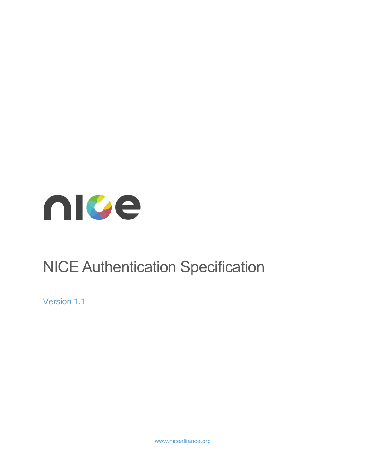<span id="page-0-0"></span>

# NICE Authentication Specification

Version 1.1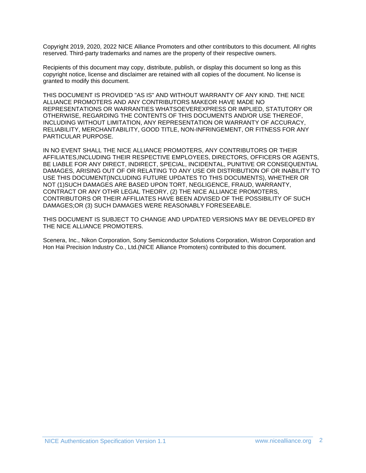Copyright 2019, 2020, 2022 NICE Alliance Promoters and other contributors to this document. All rights reserved. Third-party trademarks and names are the property of their respective owners.

Recipients of this document may copy, distribute, publish, or display this document so long as this copyright notice, license and disclaimer are retained with all copies of the document. No license is granted to modify this document.

THIS DOCUMENT IS PROVIDED "AS IS" AND WITHOUT WARRANTY OF ANY KIND. THE NICE ALLIANCE PROMOTERS AND ANY CONTRIBUTORS MAKEOR HAVE MADE NO REPRESENTATIONS OR WARRANTIES WHATSOEVEREXPRESS OR IMPLIED, STATUTORY OR OTHERWISE, REGARDING THE CONTENTS OF THIS DOCUMENTS AND/OR USE THEREOF, INCLUDING WITHOUT LIMITATION, ANY REPRESENTATION OR WARRANTY OF ACCURACY, RELIABILITY, MERCHANTABILITY, GOOD TITLE, NON-INFRINGEMENT, OR FITNESS FOR ANY PARTICULAR PURPOSE.

IN NO EVENT SHALL THE NICE ALLIANCE PROMOTERS, ANY CONTRIBUTORS OR THEIR AFFILIATES,INCLUDING THEIR RESPECTIVE EMPLOYEES, DIRECTORS, OFFICERS OR AGENTS, BE LIABLE FOR ANY DIRECT, INDIRECT, SPECIAL, INCIDENTAL, PUNITIVE OR CONSEQUENTIAL DAMAGES, ARISING OUT OF OR RELATING TO ANY USE OR DISTRIBUTION OF OR INABILITY TO USE THIS DOCUMENT(INCLUDING FUTURE UPDATES TO THIS DOCUMENTS), WHETHER OR NOT (1)SUCH DAMAGES ARE BASED UPON TORT, NEGLIGENCE, FRAUD, WARRANTY, CONTRACT OR ANY OTHR LEGAL THEORY, (2) THE NICE ALLIANCE PROMOTERS, CONTRIBUTORS OR THEIR AFFILIATES HAVE BEEN ADVISED OF THE POSSIBILITY OF SUCH DAMAGES;OR (3) SUCH DAMAGES WERE REASONABLY FORESEEABLE.

THIS DOCUMENT IS SUBJECT TO CHANGE AND UPDATED VERSIONS MAY BE DEVELOPED BY THE NICE ALLIANCE PROMOTERS.

Scenera, Inc., Nikon Corporation, Sony Semiconductor Solutions Corporation, Wistron Corporation and Hon Hai Precision Industry Co., Ltd.(NICE Alliance Promoters) contributed to this document.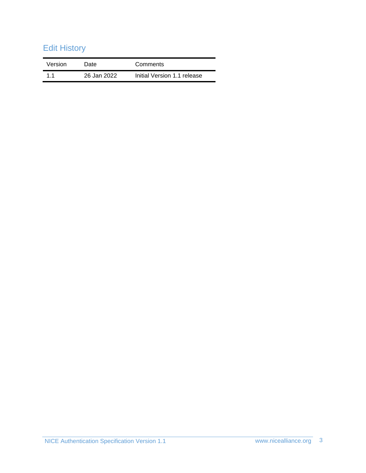# Edit History

| Version | Date        | Comments                    |
|---------|-------------|-----------------------------|
| 11      | 26 Jan 2022 | Initial Version 1.1 release |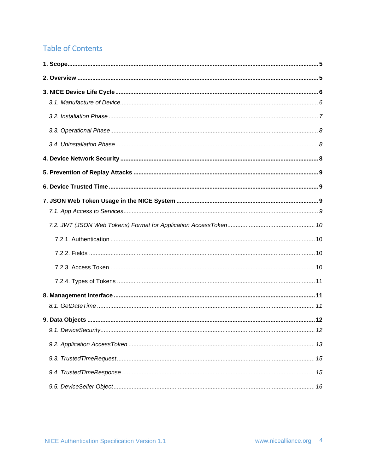# **Table of Contents**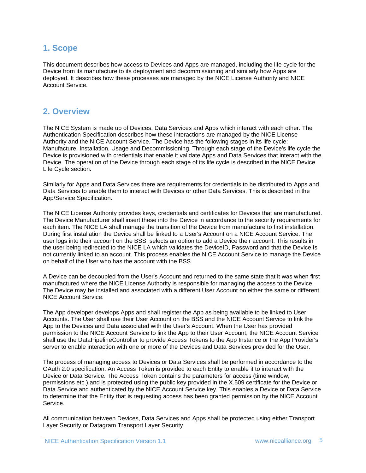### <span id="page-4-0"></span>**1. Scope**

This document describes how access to Devices and Apps are managed, including the life cycle for the Device from its manufacture to its deployment and decommissioning and similarly how Apps are deployed. It describes how these processes are managed by the NICE License Authority and NICE Account Service.

### <span id="page-4-1"></span>**2. Overview**

The NICE System is made up of Devices, Data Services and Apps which interact with each other. The Authentication Specification describes how these interactions are managed by the NICE License Authority and the NICE Account Service. The Device has the following stages in its life cycle: Manufacture, Installation, Usage and Decommissioning. Through each stage of the Device's life cycle the Device is provisioned with credentials that enable it validate Apps and Data Services that interact with the Device. The operation of the Device through each stage of its life cycle is described in the NICE Device Life Cycle section.

Similarly for Apps and Data Services there are requirements for credentials to be distributed to Apps and Data Services to enable them to interact with Devices or other Data Services. This is described in the App/Service Specification.

The NICE License Authority provides keys, credentials and certificates for Devices that are manufactured. The Device Manufacturer shall insert these into the Device in accordance to the security requirements for each item. The NICE LA shall manage the transition of the Device from manufacture to first installation. During first installation the Device shall be linked to a User's Account on a NICE Account Service. The user logs into their account on the BSS, selects an option to add a Device their account. This results in the user being redirected to the NICE LA which validates the DeviceID, Password and that the Device is not currently linked to an account. This process enables the NICE Account Service to manage the Device on behalf of the User who has the account with the BSS.

A Device can be decoupled from the User's Account and returned to the same state that it was when first manufactured where the NICE License Authority is responsible for managing the access to the Device. The Device may be installed and associated with a different User Account on either the same or different NICE Account Service.

The App developer develops Apps and shall register the App as being available to be linked to User Accounts. The User shall use their User Account on the BSS and the NICE Account Service to link the App to the Devices and Data associated with the User's Account. When the User has provided permission to the NICE Account Service to link the App to their User Account, the NICE Account Service shall use the DataPipelineController to provide Access Tokens to the App Instance or the App Provider's server to enable interaction with one or more of the Devices and Data Services provided for the User.

The process of managing access to Devices or Data Services shall be performed in accordance to the OAuth 2.0 specification. An Access Token is provided to each Entity to enable it to interact with the Device or Data Service. The Access Token contains the parameters for access (time window, permissions etc.) and is protected using the public key provided in the X.509 certificate for the Device or Data Service and authenticated by the NICE Account Service key. This enables a Device or Data Service to determine that the Entity that is requesting access has been granted permission by the NICE Account Service.

All communication between Devices, Data Services and Apps shall be protected using either Transport Layer Security or Datagram Transport Layer Security.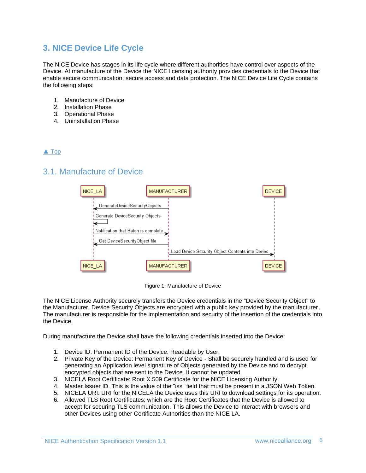### <span id="page-5-0"></span>**3. NICE Device Life Cycle**

The NICE Device has stages in its life cycle where different authorities have control over aspects of the Device. At manufacture of the Device the NICE licensing authority provides credentials to the Device that enable secure communication, secure access and data protection. The NICE Device Life Cycle contains the following steps:

- 1. Manufacture of Device
- 2. Installation Phase
- 3. Operational Phase
- 4. Uninstallation Phase

#### [▲](#page-0-0) [Top](#page-0-0)

### <span id="page-5-1"></span>3.1. Manufacture of Device



Figure 1. Manufacture of Device

The NICE License Authority securely transfers the Device credentials in the "Device Security Object" to the Manufacturer. Device Security Objects are encrypted with a public key provided by the manufacturer. The manufacturer is responsible for the implementation and security of the insertion of the credentials into the Device.

During manufacture the Device shall have the following credentials inserted into the Device:

- 1. Device ID: Permanent ID of the Device. Readable by User.
- 2. Private Key of the Device: Permanent Key of Device Shall be securely handled and is used for generating an Application level signature of Objects generated by the Device and to decrypt encrypted objects that are sent to the Device. It cannot be updated.
- 3. NICELA Root Certificate: Root X.509 Certificate for the NICE Licensing Authority.
- 4. Master Issuer ID. This is the value of the "iss" field that must be present in a JSON Web Token.
- 5. NICELA URI: URI for the NICELA the Device uses this URI to download settings for its operation.
- 6. Allowed TLS Root Certificates: which are the Root Certificates that the Device is allowed to accept for securing TLS communication. This allows the Device to interact with browsers and other Devices using other Certificate Authorities than the NICE LA.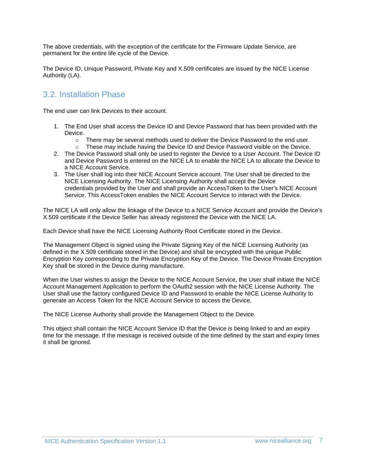The above credentials, with the exception of the certificate for the Firmware Update Service, are permanent for the entire life cycle of the Device.

The Device ID, Unique Password, Private Key and X.509 certificates are issued by the NICE License Authority (LA).

### <span id="page-6-0"></span>3.2. Installation Phase

The end user can link Devices to their account.

- 1. The End User shall access the Device ID and Device Password that has been provided with the Device.
	- $\circ$  There may be several methods used to deliver the Device Password to the end user.
	- $\circ$  These may include having the Device ID and Device Password visible on the Device.
- 2. The Device Password shall only be used to register the Device to a User Account. The Device ID and Device Password is entered on the NICE LA to enable the NICE LA to allocate the Device to a NICE Account Service.
- 3. The User shall log into their NICE Account Service account. The User shall be directed to the NICE Licensing Authority. The NICE Licensing Authority shall accept the Device credentials provided by the User and shall provide an AccessToken to the User's NICE Account Service. This AccessToken enables the NICE Account Service to interact with the Device.

The NICE LA will only allow the linkage of the Device to a NICE Service Account and provide the Device's X.509 certificate if the Device Seller has already registered the Device with the NICE LA.

Each Device shall have the NICE Licensing Authority Root Certificate stored in the Device.

The Management Object is signed using the Private Signing Key of the NICE Licensing Authority (as defined in the X.509 certificate stored in the Device) and shall be encrypted with the unique Public Encryption Key corresponding to the Private Encryption Key of the Device. The Device Private Encryption Key shall be stored in the Device during manufacture.

When the User wishes to assign the Device to the NICE Account Service, the User shall initiate the NICE Account Management Application to perform the OAuth2 session with the NICE License Authority. The User shall use the factory configured Device ID and Password to enable the NICE License Authority to generate an Access Token for the NICE Account Service to access the Device.

The NICE License Authority shall provide the Management Object to the Device.

This object shall contain the NICE Account Service ID that the Device is being linked to and an expiry time for the message. If the message is received outside of the time defined by the start and expiry times it shall be ignored.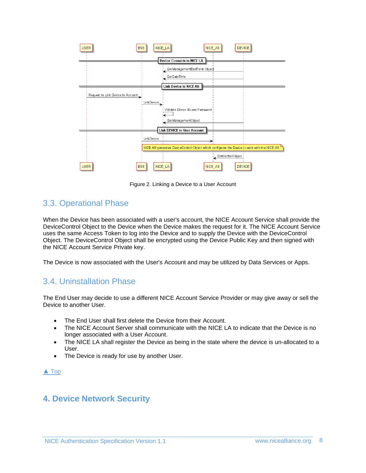

Figure 2. Linking a Device to a User Account

### <span id="page-7-0"></span>3.3. Operational Phase

When the Device has been associated with a user's account, the NICE Account Service shall provide the DeviceControl Object to the Device when the Device makes the request for it. The NICE Account Service uses the same Access Token to log into the Device and to supply the Device with the DeviceControl Object. The DeviceControl Object shall be encrypted using the Device Public Key and then signed with the NICE Account Service Private key.

The Device is now associated with the User's Account and may be utilized by Data Services or Apps.

### <span id="page-7-1"></span>3.4. Uninstallation Phase

The End User may decide to use a different NICE Account Service Provider or may give away or sell the Device to another User.

- The End User shall first delete the Device from their Account.
- The NICE Account Server shall communicate with the NICE LA to indicate that the Device is no longer associated with a User Account.
- The NICE LA shall register the Device as being in the state where the device is un-allocated to a User.
- The Device is ready for use by another User.

#### [▲](#page-0-0) [Top](#page-0-0)

### <span id="page-7-2"></span>**4. Device Network Security**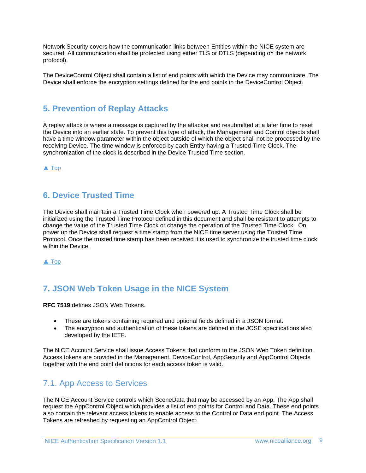Network Security covers how the communication links between Entities within the NICE system are secured. All communication shall be protected using either TLS or DTLS (depending on the network protocol).

The DeviceControl Object shall contain a list of end points with which the Device may communicate. The Device shall enforce the encryption settings defined for the end points in the DeviceControl Object.

### <span id="page-8-0"></span>**5. Prevention of Replay Attacks**

A replay attack is where a message is captured by the attacker and resubmitted at a later time to reset the Device into an earlier state. To prevent this type of attack, the Management and Control objects shall have a time window parameter within the object outside of which the object shall not be processed by the receiving Device. The time window is enforced by each Entity having a Trusted Time Clock. The synchronization of the clock is described in the Device Trusted Time section.

[▲](#page-0-0) [Top](#page-0-0)

### <span id="page-8-1"></span>**6. Device Trusted Time**

The Device shall maintain a Trusted Time Clock when powered up. A Trusted Time Clock shall be initialized using the Trusted Time Protocol defined in this document and shall be resistant to attempts to change the value of the Trusted Time Clock or change the operation of the Trusted Time Clock. On power up the Device shall request a time stamp from the NICE time server using the Trusted Time Protocol. Once the trusted time stamp has been received it is used to synchronize the trusted time clock within the Device.

[▲](#page-0-0) [Top](#page-0-0)

## <span id="page-8-2"></span>**7. JSON Web Token Usage in the NICE System**

**RFC 7519** defines JSON Web Tokens.

- These are tokens containing required and optional fields defined in a JSON format.
- The encryption and authentication of these tokens are defined in the JOSE specifications also developed by the IETF.

The NICE Account Service shall issue Access Tokens that conform to the JSON Web Token definition. Access tokens are provided in the Management, DeviceControl, AppSecurity and AppControl Objects together with the end point definitions for each access token is valid.

### <span id="page-8-3"></span>7.1. App Access to Services

The NICE Account Service controls which SceneData that may be accessed by an App. The App shall request the AppControl Object which provides a list of end points for Control and Data. These end points also contain the relevant access tokens to enable access to the Control or Data end point. The Access Tokens are refreshed by requesting an AppControl Object.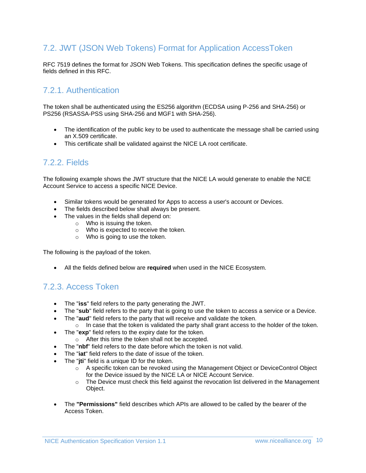### <span id="page-9-0"></span>7.2. JWT (JSON Web Tokens) Format for Application AccessToken

RFC 7519 defines the format for JSON Web Tokens. This specification defines the specific usage of fields defined in this RFC.

### <span id="page-9-1"></span>7.2.1. Authentication

The token shall be authenticated using the ES256 algorithm (ECDSA using P-256 and SHA-256) or PS256 (RSASSA-PSS using SHA-256 and MGF1 with SHA-256).

- The identification of the public key to be used to authenticate the message shall be carried using an X.509 certificate.
- This certificate shall be validated against the NICE LA root certificate.

### <span id="page-9-2"></span>7.2.2. Fields

The following example shows the JWT structure that the NICE LA would generate to enable the NICE Account Service to access a specific NICE Device.

- Similar tokens would be generated for Apps to access a user's account or Devices.
- The fields described below shall always be present.
- The values in the fields shall depend on:
	- o Who is issuing the token.
		- o Who is expected to receive the token.
		- o Who is going to use the token.

The following is the payload of the token.

• All the fields defined below are **required** when used in the NICE Ecosystem.

### <span id="page-9-3"></span>7.2.3. Access Token

- The "**iss**" field refers to the party generating the JWT.
- The "**sub**" field refers to the party that is going to use the token to access a service or a Device.
- The "**aud**" field refers to the party that will receive and validate the token.
- $\circ$  In case that the token is validated the party shall grant access to the holder of the token.
- The "**exp**" field refers to the expiry date for the token.
	- o After this time the token shall not be accepted.
- The "**nbf**" field refers to the date before which the token is not valid.
- The "**iat**" field refers to the date of issue of the token.
- The "**iti**" field is a unique ID for the token.
	- $\circ$  A specific token can be revoked using the Management Object or DeviceControl Object for the Device issued by the NICE LA or NICE Account Service.
	- $\circ$  The Device must check this field against the revocation list delivered in the Management Object.
- The **"Permissions"** field describes which APIs are allowed to be called by the bearer of the Access Token.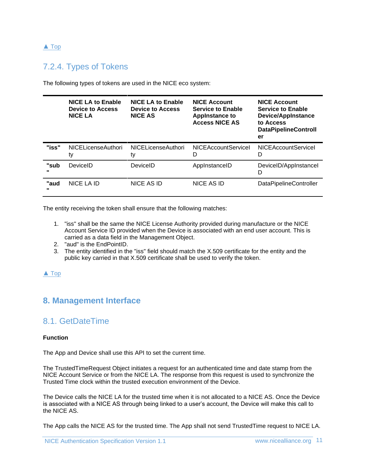#### [▲](#page-0-0) [Top](#page-0-0)

### <span id="page-10-0"></span>7.2.4. Types of Tokens

The following types of tokens are used in the NICE eco system:

|                      | <b>NICE LA to Enable</b><br><b>Device to Access</b><br><b>NICE LA</b> | <b>NICE LA to Enable</b><br><b>Device to Access</b><br><b>NICE AS</b> | <b>NICE Account</b><br><b>Service to Enable</b><br><b>Appinstance to</b><br><b>Access NICE AS</b> | <b>NICE Account</b><br><b>Service to Enable</b><br><b>Device/AppInstance</b><br>to Access<br><b>DataPipelineControll</b><br>er |
|----------------------|-----------------------------------------------------------------------|-----------------------------------------------------------------------|---------------------------------------------------------------------------------------------------|--------------------------------------------------------------------------------------------------------------------------------|
| "iss"                | <b>NICELicenseAuthori</b><br>ty                                       | <b>NICELicenseAuthori</b><br>ty                                       | <b>NICEAccountServiceL</b><br>D                                                                   | <b>NICEAccountServiceL</b><br>D                                                                                                |
| "sub<br>$\mathbf{u}$ | DeviceID                                                              | DeviceID                                                              | AppInstanceID                                                                                     | DeviceID/AppInstanceI<br>D                                                                                                     |
| "aud<br>$\mathbf{u}$ | NICE LA ID                                                            | NICE AS ID                                                            | NICE AS ID                                                                                        | <b>DataPipelineController</b>                                                                                                  |

The entity receiving the token shall ensure that the following matches:

- 1. "iss" shall be the same the NICE License Authority provided during manufacture or the NICE Account Service ID provided when the Device is associated with an end user account. This is carried as a data field in the Management Object.
- 2. "aud" is the EndPointID.
- 3. The entity identified in the "iss" field should match the X.509 certificate for the entity and the public key carried in that X.509 certificate shall be used to verify the token.

#### [▲](#page-0-0) [Top](#page-0-0)

### <span id="page-10-2"></span><span id="page-10-1"></span>**8. Management Interface**

### 8.1. GetDateTime

#### **Function**

The App and Device shall use this API to set the current time.

The TrustedTimeRequest Object initiates a request for an authenticated time and date stamp from the NICE Account Service or from the NICE LA. The response from this request is used to synchronize the Trusted Time clock within the trusted execution environment of the Device.

The Device calls the NICE LA for the trusted time when it is not allocated to a NICE AS. Once the Device is associated with a NICE AS through being linked to a user's account, the Device will make this call to the NICE AS.

The App calls the NICE AS for the trusted time. The App shall not send TrustedTime request to NICE LA.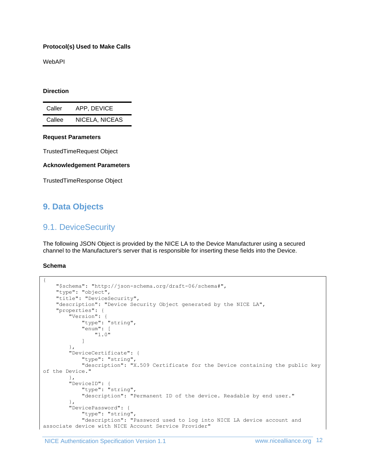#### **Protocol(s) Used to Make Calls**

WebAPI

#### **Direction**

| Caller | APP, DEVICE    |
|--------|----------------|
| Callee | NICELA, NICEAS |

#### **Request Parameters**

TrustedTimeRequest Object

#### **Acknowledgement Parameters**

TrustedTimeResponse Object

### <span id="page-11-1"></span><span id="page-11-0"></span>**9. Data Objects**

### 9.1. DeviceSecurity

The following JSON Object is provided by the NICE LA to the Device Manufacturer using a secured channel to the Manufacturer's server that is responsible for inserting these fields into the Device.

#### **Schema**

```
{
     "$schema": "http://json-schema.org/draft-06/schema#",
     "type": "object",
     "title": "DeviceSecurity",
     "description": "Device Security Object generated by the NICE LA",
     "properties": {
         "Version": {
             "type": "string",
             "enum": [
                 "1.0"
 ]
         },
         "DeviceCertificate": {
             "type": "string",
             "description": "X.509 Certificate for the Device containing the public key 
of the Device."
         },
         "DeviceID": {
             "type": "string",
             "description": "Permanent ID of the device. Readable by end user."
         },
         "DevicePassword": {
             "type": "string",
             "description": "Password used to log into NICE LA device account and 
associate device with NICE Account Service Provider"
```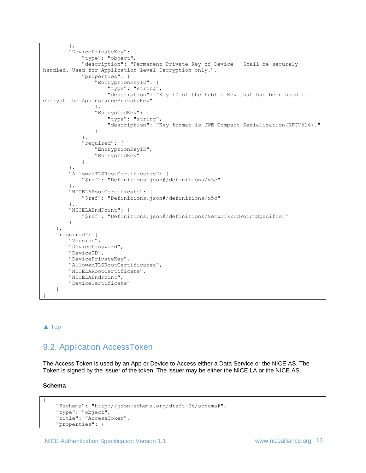```
 },
         "DevicePrivateKey": {
             "type": "object",
             "description": "Permanent Private Key of Device - Shall be securely 
handled. Used for Application level Decryption only.",
             "properties": {
                 "EncryptionKeyID": {
                     "type": "string",
                     "description": "Key ID of the Public Key that has been used to 
encrypt the AppInstancePrivateKey"
 },
                 "EncryptedKey": {
                    "type": "string",
                    "description": "Key format is JWE Compact Serialization(RFC7516)."
 }
             },
             "required": [
                 "EncryptionKeyID",
                 "EncryptedKey"
 ]
         },
         "AllowedTLSRootCertificates": {
             "$ref": "Definitions.json#/definitions/x5c"
         },
         "NICELARootCertificate": {
             "$ref": "Definitions.json#/definitions/x5c"
         },
         "NICELAEndPoint": {
             "$ref": "Definitions.json#/definitions/NetworkEndPointSpecifier"
         }
     },
     "required": [
         "Version",
         "DevicePassword",
         "DeviceID",
         "DevicePrivateKey",
         "AllowedTLSRootCertificates",
         "NICELARootCertificate",
         "NICELAEndPoint",
         "DeviceCertificate"
     ]
}
```
#### [▲](#page-0-0) [Top](#page-0-0)

### <span id="page-12-0"></span>9.2. Application AccessToken

The Access Token is used by an App or Device to Access either a Data Service or the NICE AS. The Token is signed by the issuer of the token. The issuer may be either the NICE LA or the NICE AS.

#### **Schema**

{

```
 "$schema": "http://json-schema.org/draft-06/schema#",
 "type": "object",
 "title": "AccessToken",
 "properties": {
```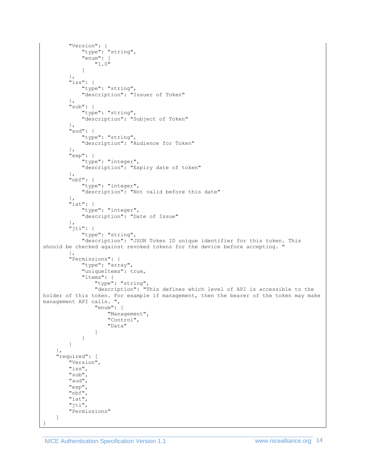```
 "Version": {
             "type": "string",
             "enum": [
                 "1.0"
 ]
         },
         "iss": {
             "type": "string",
             "description": "Issuer of Token"
         },
         "sub": {
            "type": "string",
             "description": "Subject of Token"
         },
         "aud": {
             "type": "string",
             "description": "Audience for Token"
         },
         "exp": {
             "type": "integer",
             "description": "Expiry date of token"
         },
         "nbf": {
             "type": "integer",
             "description": "Not valid before this date"
 },
 "iat": {
             "type": "integer",
             "description": "Date of Issue"
         },
         "jti": {
             "type": "string",
             "description": "JSON Token ID unique identifier for this token. This 
should be checked against revoked tokens for the device before accepting. "
         },
         "Permissions": {
             "type": "array",
             "uniqueItems": true,
             "items": {
                 "type": "string",
                 "description": "This defines which level of API is accessible to the 
holder of this token. For example if management, then the bearer of the token may make 
management API calls. ",
                 "enum": [
                     "Management",
                    "Control",
                     "Data"
 ]
 }
         }
     },
     "required": [
         "Version",
         "iss",
         "sub",
         "aud",
         "exp",
         "nbf",
         "iat",
         "jti",
         "Permissions"
     ]
}
```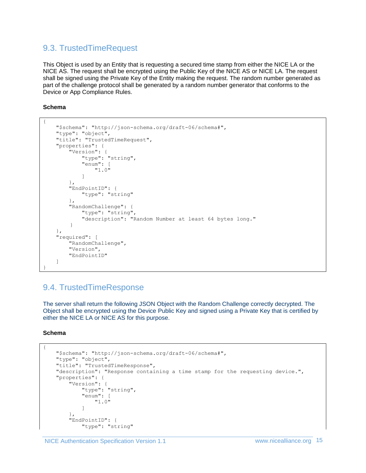### <span id="page-14-0"></span>9.3. TrustedTimeRequest

This Object is used by an Entity that is requesting a secured time stamp from either the NICE LA or the NICE AS. The request shall be encrypted using the Public Key of the NICE AS or NICE LA. The request shall be signed using the Private Key of the Entity making the request. The random number generated as part of the challenge protocol shall be generated by a random number generator that conforms to the Device or App Compliance Rules.

#### **Schema**

```
{
     "$schema": "http://json-schema.org/draft-06/schema#",
     "type": "object",
     "title": "TrustedTimeRequest",
     "properties": {
         "Version": {
             "type": "string",
             "enum": [
                 "1.0"
 ]
         },
         "EndPointID": {
             "type": "string"
         },
         "RandomChallenge": {
            "type": "string",
             "description": "Random Number at least 64 bytes long."
        }
     },
     "required": [
         "RandomChallenge",
         "Version",
         "EndPointID"
     ]
}
```
### <span id="page-14-1"></span>9.4. TrustedTimeResponse

The server shall return the following JSON Object with the Random Challenge correctly decrypted. The Object shall be encrypted using the Device Public Key and signed using a Private Key that is certified by either the NICE LA or NICE AS for this purpose.

**Schema**

{

```
 "$schema": "http://json-schema.org/draft-06/schema#",
     "type": "object",
     "title": "TrustedTimeResponse",
     "description": "Response containing a time stamp for the requesting device.",
     "properties": {
         "Version": {
             "type": "string",
             "enum": [
                 "1.0"
 ]
        },
         "EndPointID": {
             "type": "string"
```